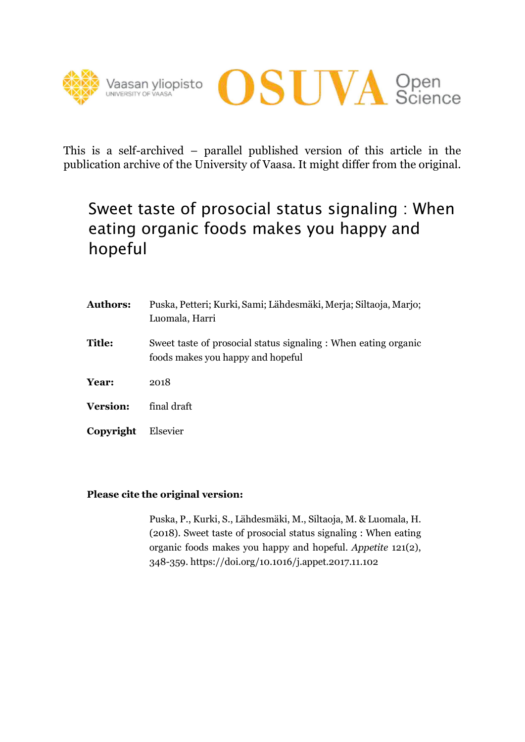



This is a self-archived – parallel published version of this article in the publication archive of the University of Vaasa. It might differ from the original.

# Sweet taste of prosocial status signaling : When eating organic foods makes you happy and hopeful

| <b>Authors:</b> | Puska, Petteri; Kurki, Sami; Lähdesmäki, Merja; Siltaoja, Marjo;<br>Luomala, Harri                   |
|-----------------|------------------------------------------------------------------------------------------------------|
| <b>Title:</b>   | Sweet taste of prosocial status signaling : When eating organic<br>foods makes you happy and hopeful |
| Year:           | 2018                                                                                                 |
| <b>Version:</b> | final draft                                                                                          |
| Copyright       | Elsevier                                                                                             |

# **Please cite the original version:**

Puska, P., Kurki, S., Lähdesmäki, M., Siltaoja, M. & Luomala, H. (2018). Sweet taste of prosocial status signaling : When eating organic foods makes you happy and hopeful. *Appetite* 121(2), 348-359. https://doi.org/10.1016/j.appet.2017.11.102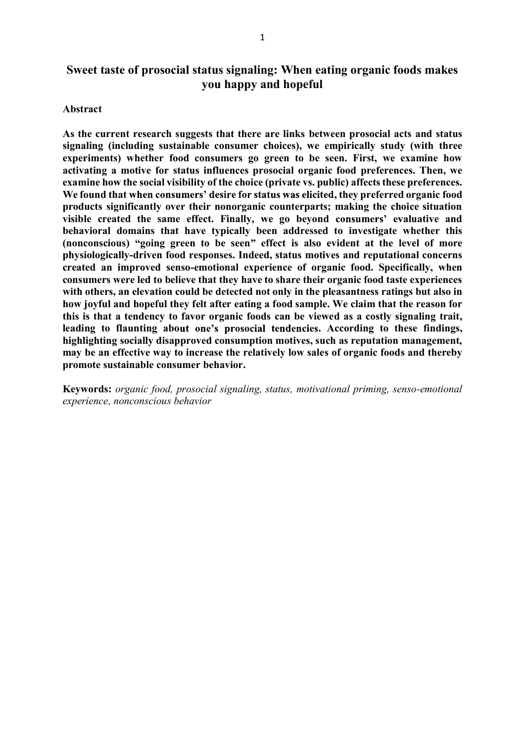# **Sweet taste of prosocial status signaling: When eating organic foods makes you happy and hopeful**

#### **Abstract**

**As the current research suggests that there are links between prosocial acts and status signaling (including sustainable consumer choices), we empirically study (with three experiments) whether food consumers go green to be seen. First, we examine how activating a motive for status influences prosocial organic food preferences. Then, we examine how the social visibility of the choice (private vs. public) affects these preferences.** We found that when consumers' desire for status was elicited, they preferred organic food **products significantly over their nonorganic counterparts; making the choice situation visible created the same effect. Finally, we go beyond consumers' evaluative and behavioral domains that have typically been addressed to investigate whether this** (nonconscious) "going green to be seen" effect is also evident at the level of more **physiologically-driven food responses. Indeed, status motives and reputational concerns created an improved senso-emotional experience of organic food. Specifically, when consumers were led to believe that they have to share their organic food taste experiences with others, an elevation could be detected not only in the pleasantness ratings but also in how joyful and hopeful they felt after eating a food sample. We claim that the reason for this is that a tendency to favor organic foods can be viewed as a costly signaling trait,** leading to flaunting about one's prosocial tendencies. According to these findings, **highlighting socially disapproved consumption motives, such as reputation management, may be an effective way to increase the relatively low sales of organic foods and thereby promote sustainable consumer behavior.**

**Keywords:** *organic food, prosocial signaling, status, motivational priming, senso-emotional experience, nonconscious behavior*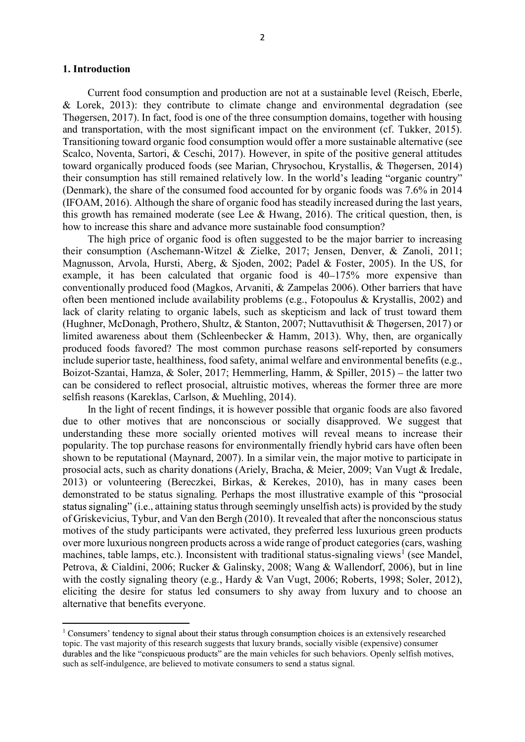#### **1. Introduction**

Current food consumption and production are not at a sustainable level (Reisch, Eberle, & Lorek, 2013): they contribute to climate change and environmental degradation (see Thøgersen, 2017). In fact, food is one of the three consumption domains, together with housing and transportation, with the most significant impact on the environment (cf. Tukker, 2015). Transitioning toward organic food consumption would offer a more sustainable alternative (see Scalco, Noventa, Sartori, & Ceschi, 2017). However, in spite of the positive general attitudes toward organically produced foods (see Marian, Chrysochou, Krystallis, & Thøgersen, 2014) their consumption has still remained relatively low. In the world's leading "organic country" (Denmark), the share of the consumed food accounted for by organic foods was 7.6% in 2014 (IFOAM, 2016). Although the share of organic food has steadily increased during the last years, this growth has remained moderate (see Lee  $\&$  Hwang, 2016). The critical question, then, is how to increase this share and advance more sustainable food consumption?

The high price of organic food is often suggested to be the major barrier to increasing their consumption (Aschemann-Witzel & Zielke, 2017; Jensen, Denver, & Zanoli, 2011; Magnusson, Arvola, Hursti, Aberg, & Sjoden, 2002; Padel & Foster, 2005). In the US, for example, it has been calculated that organic food is 40–175% more expensive than conventionally produced food (Magkos, Arvaniti, & Zampelas 2006). Other barriers that have often been mentioned include availability problems (e.g., Fotopoulus & Krystallis, 2002) and lack of clarity relating to organic labels, such as skepticism and lack of trust toward them (Hughner, McDonagh, Prothero, Shultz, & Stanton, 2007; Nuttavuthisit & Thøgersen, 2017) or limited awareness about them (Schleenbecker & Hamm, 2013). Why, then, are organically produced foods favored? The most common purchase reasons self-reported by consumers include superior taste, healthiness, food safety, animal welfare and environmental benefits (e.g., Boizot-Szantai, Hamza, & Soler, 2017; Hemmerling, Hamm, & Spiller, 2015) – the latter two can be considered to reflect prosocial, altruistic motives, whereas the former three are more selfish reasons (Kareklas, Carlson, & Muehling, 2014).

In the light of recent findings, it is however possible that organic foods are also favored due to other motives that are nonconscious or socially disapproved. We suggest that understanding these more socially oriented motives will reveal means to increase their popularity. The top purchase reasons for environmentally friendly hybrid cars have often been shown to be reputational (Maynard, 2007). In a similar vein, the major motive to participate in prosocial acts, such as charity donations (Ariely, Bracha, & Meier, 2009; Van Vugt & Iredale, 2013) or volunteering (Bereczkei, Birkas, & Kerekes, 2010), has in many cases been demonstrated to be status signaling. Perhaps the most illustrative example of this "prosocial status signaling" (i.e., attaining status through seemingly unselfish acts) is provided by the study of Griskevicius, Tybur, and Van den Bergh (2010). It revealed that after the nonconscious status motives of the study participants were activated, they preferred less luxurious green products over more luxurious nongreen products across a wide range of product categories (cars, washing machines, table lamps, etc.). Inconsistent with traditional status-signaling views<sup>1</sup> (see Mandel, Petrova, & Cialdini, 2006; Rucker & Galinsky, 2008; Wang & Wallendorf, 2006), but in line with the costly signaling theory (e.g., Hardy & Van Vugt, 2006; Roberts, 1998; Soler, 2012), eliciting the desire for status led consumers to shy away from luxury and to choose an alternative that benefits everyone.

 $1$  Consumers' tendency to signal about their status through consumption choices is an extensively researched topic. The vast majority of this research suggests that luxury brands, socially visible (expensive) consumer durables and the like "conspicuous products" are the main vehicles for such behaviors. Openly selfish motives, such as self-indulgence, are believed to motivate consumers to send a status signal.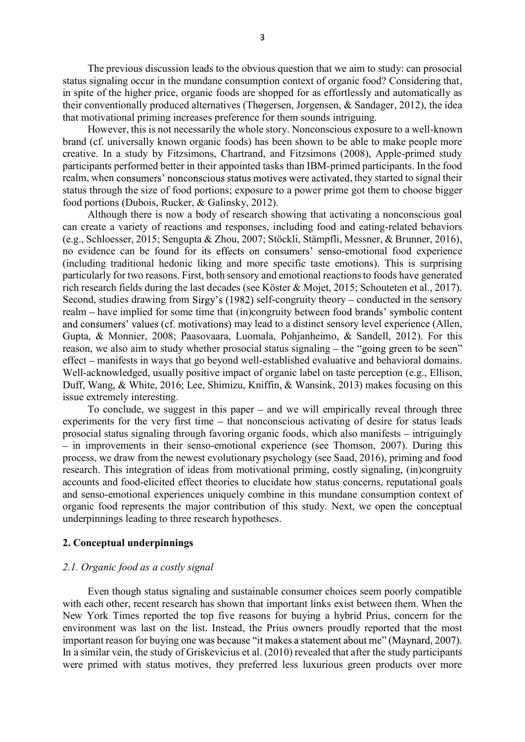The previous discussion leads to the obvious question that we aim to study: can prosocial status signaling occur in the mundane consumption context of organic food? Considering that, in spite of the higher price, organic foods are shopped for as effortlessly and automatically as their conventionally produced alternatives (Thøgersen, Jorgensen, & Sandager, 2012), the idea that motivational priming increases preference for them sounds intriguing.

However, this is not necessarily the whole story. Nonconscious exposure to a well-known brand (cf. universally known organic foods) has been shown to be able to make people more creative. In a study by Fitzsimons, Chartrand, and Fitzsimons (2008), Apple-primed study participants performed better in their appointed tasks than IBM-primed participants. In the food realm, when consumers' nonconscious status motives were activated, they started to signal their status through the size of food portions; exposure to a power prime got them to choose bigger food portions (Dubois, Rucker, & Galinsky, 2012).

Although there is now a body of research showing that activating a nonconscious goal can create a variety of reactions and responses, including food and eating-related behaviors (e.g., Schloesser, 2015; Sengupta & Zhou, 2007; Stöckli, Stämpfli, Messner, & Brunner, 2016), no evidence can be found for its effects on consumers' senso-emotional food experience (including traditional hedonic liking and more specific taste emotions). This is surprising particularly for two reasons. First, both sensory and emotional reactions to foods have generated rich research fields during the last decades (see Köster & Mojet, 2015; Schouteten et al., 2017). Second, studies drawing from Sirgy's  $(1982)$  self-congruity theory – conducted in the sensory realm  $-$  have implied for some time that (in)congruity between food brands' symbolic content and consumers' values (cf. motivations) may lead to a distinct sensory level experience (Allen, Gupta, & Monnier, 2008; Paasovaara, Luomala, Pohjanheimo, & Sandell, 2012). For this reason, we also aim to study whether prosocial status signaling  $-$  the "going green to be seen" effect manifests in ways that go beyond well-established evaluative and behavioral domains. Well-acknowledged, usually positive impact of organic label on taste perception (e.g., Ellison, Duff, Wang, & White, 2016; Lee, Shimizu, Kniffin, & Wansink, 2013) makes focusing on this issue extremely interesting.

To conclude, we suggest in this paper  $-$  and we will empirically reveal through three experiments for the very first time  $-$  that nonconscious activating of desire for status leads prosocial status signaling through favoring organic foods, which also manifests  $-$  intriguingly - in improvements in their senso-emotional experience (see Thomson, 2007). During this process, we draw from the newest evolutionary psychology (see Saad, 2016), priming and food research. This integration of ideas from motivational priming, costly signaling, (in)congruity accounts and food-elicited effect theories to elucidate how status concerns, reputational goals and senso-emotional experiences uniquely combine in this mundane consumption context of organic food represents the major contribution of this study. Next, we open the conceptual underpinnings leading to three research hypotheses.

#### **2. Conceptual underpinnings**

#### *2.1. Organic food as a costly signal*

Even though status signaling and sustainable consumer choices seem poorly compatible with each other, recent research has shown that important links exist between them. When the New York Times reported the top five reasons for buying a hybrid Prius, concern for the environment was last on the list. Instead, the Prius owners proudly reported that the most important reason for buying one was because "it makes a statement about me" (Maynard, 2007). In a similar vein, the study of Griskevicius et al. (2010) revealed that after the study participants were primed with status motives, they preferred less luxurious green products over more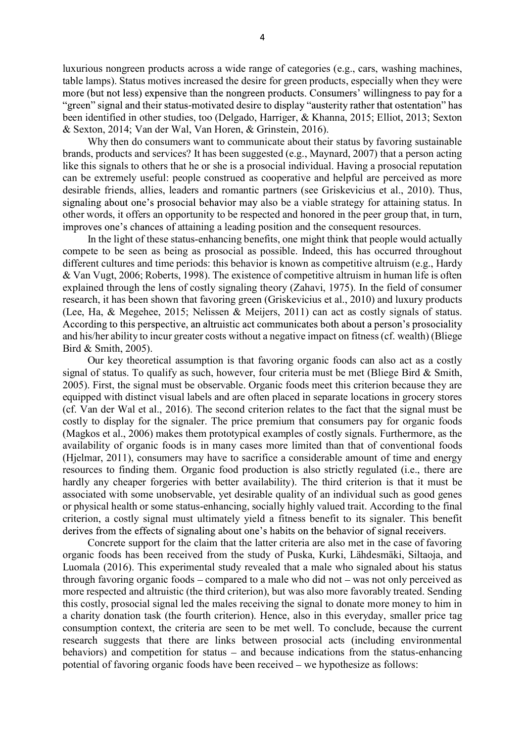luxurious nongreen products across a wide range of categories (e.g., cars, washing machines, table lamps). Status motives increased the desire for green products, especially when they were more (but not less) expensive than the nongreen products. Consumers' willingness to pay for a "green" signal and their status-motivated desire to display "austerity rather that ostentation" has been identified in other studies, too (Delgado, Harriger, & Khanna, 2015; Elliot, 2013; Sexton & Sexton, 2014; Van der Wal, Van Horen, & Grinstein, 2016).

Why then do consumers want to communicate about their status by favoring sustainable brands, products and services? It has been suggested (e.g., Maynard, 2007) that a person acting like this signals to others that he or she is a prosocial individual. Having a prosocial reputation can be extremely useful: people construed as cooperative and helpful are perceived as more desirable friends, allies, leaders and romantic partners (see Griskevicius et al., 2010). Thus, signaling about one's prosocial behavior may also be a viable strategy for attaining status. In other words, it offers an opportunity to be respected and honored in the peer group that, in turn, improves one's chances of attaining a leading position and the consequent resources.

In the light of these status-enhancing benefits, one might think that people would actually compete to be seen as being as prosocial as possible. Indeed, this has occurred throughout different cultures and time periods: this behavior is known as competitive altruism (e.g., Hardy & Van Vugt, 2006; Roberts, 1998). The existence of competitive altruism in human life is often explained through the lens of costly signaling theory (Zahavi, 1975). In the field of consumer research, it has been shown that favoring green (Griskevicius et al., 2010) and luxury products (Lee, Ha, & Megehee, 2015; Nelissen & Meijers, 2011) can act as costly signals of status. According to this perspective, an altruistic act communicates both about a person's prosociality and his/her ability to incur greater costs without a negative impact on fitness (cf. wealth) (Bliege Bird & Smith, 2005).

Our key theoretical assumption is that favoring organic foods can also act as a costly signal of status. To qualify as such, however, four criteria must be met (Bliege Bird & Smith, 2005). First, the signal must be observable. Organic foods meet this criterion because they are equipped with distinct visual labels and are often placed in separate locations in grocery stores (cf. Van der Wal et al., 2016). The second criterion relates to the fact that the signal must be costly to display for the signaler. The price premium that consumers pay for organic foods (Magkos et al., 2006) makes them prototypical examples of costly signals. Furthermore, as the availability of organic foods is in many cases more limited than that of conventional foods (Hjelmar, 2011), consumers may have to sacrifice a considerable amount of time and energy resources to finding them. Organic food production is also strictly regulated (i.e., there are hardly any cheaper forgeries with better availability). The third criterion is that it must be associated with some unobservable, yet desirable quality of an individual such as good genes or physical health or some status-enhancing, socially highly valued trait. According to the final criterion, a costly signal must ultimately yield a fitness benefit to its signaler. This benefit derives from the effects of signaling about one's habits on the behavior of signal receivers.

Concrete support for the claim that the latter criteria are also met in the case of favoring organic foods has been received from the study of Puska, Kurki, Lähdesmäki, Siltaoja, and Luomala (2016). This experimental study revealed that a male who signaled about his status through favoring organic foods  $-\text{compared to a male who did not }-\text{was not only perceived as}$ more respected and altruistic (the third criterion), but was also more favorably treated. Sending this costly, prosocial signal led the males receiving the signal to donate more money to him in a charity donation task (the fourth criterion). Hence, also in this everyday, smaller price tag consumption context, the criteria are seen to be met well. To conclude, because the current research suggests that there are links between prosocial acts (including environmental behaviors) and competition for status  $-$  and because indications from the status-enhancing potential of favoring organic foods have been received – we hypothesize as follows: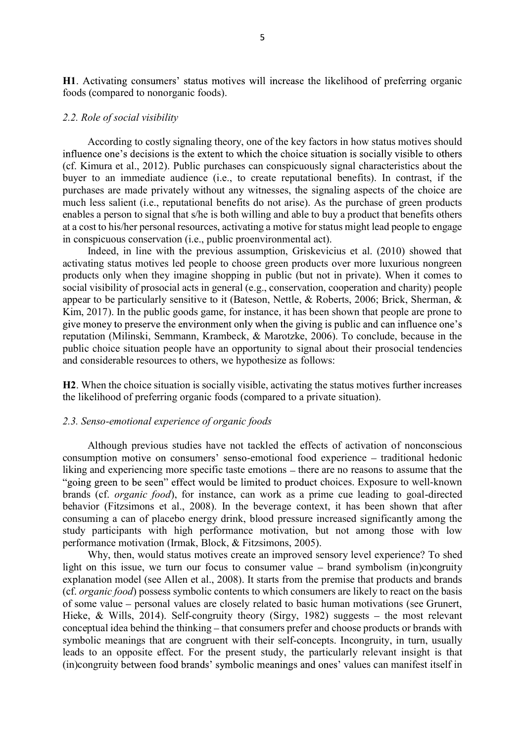H1. Activating consumers' status motives will increase the likelihood of preferring organic foods (compared to nonorganic foods).

#### *2.2. Role of social visibility*

According to costly signaling theory, one of the key factors in how status motives should influence one's decisions is the extent to which the choice situation is socially visible to others (cf. Kimura et al., 2012). Public purchases can conspicuously signal characteristics about the buyer to an immediate audience (i.e., to create reputational benefits). In contrast, if the purchases are made privately without any witnesses, the signaling aspects of the choice are much less salient (i.e., reputational benefits do not arise). As the purchase of green products enables a person to signal that s/he is both willing and able to buy a product that benefits others at a cost to his/her personal resources, activating a motive for status might lead people to engage in conspicuous conservation (i.e., public proenvironmental act).

Indeed, in line with the previous assumption, Griskevicius et al. (2010) showed that activating status motives led people to choose green products over more luxurious nongreen products only when they imagine shopping in public (but not in private). When it comes to social visibility of prosocial acts in general (e.g., conservation, cooperation and charity) people appear to be particularly sensitive to it (Bateson, Nettle,  $\&$  Roberts, 2006; Brick, Sherman,  $\&$ Kim, 2017). In the public goods game, for instance, it has been shown that people are prone to give money to preserve the environment only when the giving is public and can influence one's reputation (Milinski, Semmann, Krambeck, & Marotzke, 2006). To conclude, because in the public choice situation people have an opportunity to signal about their prosocial tendencies and considerable resources to others, we hypothesize as follows:

**H2**. When the choice situation is socially visible, activating the status motives further increases the likelihood of preferring organic foods (compared to a private situation).

#### *2.3. Senso-emotional experience of organic foods*

Although previous studies have not tackled the effects of activation of nonconscious consumption motive on consumers' senso-emotional food experience – traditional hedonic liking and experiencing more specific taste emotions – there are no reasons to assume that the "going green to be seen" effect would be limited to product choices. Exposure to well-known brands (cf. *organic food*), for instance, can work as a prime cue leading to goal-directed behavior (Fitzsimons et al., 2008). In the beverage context, it has been shown that after consuming a can of placebo energy drink, blood pressure increased significantly among the study participants with high performance motivation, but not among those with low performance motivation (Irmak, Block, & Fitzsimons, 2005).

Why, then, would status motives create an improved sensory level experience? To shed light on this issue, we turn our focus to consumer value  $-$  brand symbolism (in)congruity explanation model (see Allen et al., 2008). It starts from the premise that products and brands (cf. *organic food*) possess symbolic contents to which consumers are likely to react on the basis of some value personal values are closely related to basic human motivations (see Grunert, Hieke,  $\&$  Wills, 2014). Self-congruity theory (Sirgy, 1982) suggests – the most relevant conceptual idea behind the thinking – that consumers prefer and choose products or brands with symbolic meanings that are congruent with their self-concepts. Incongruity, in turn, usually leads to an opposite effect. For the present study, the particularly relevant insight is that (in)congruity between food brands' symbolic meanings and ones' values can manifest itself in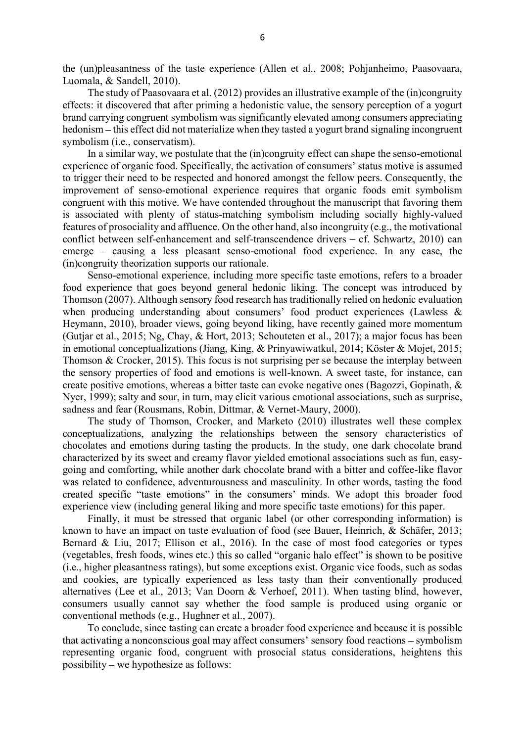the (un)pleasantness of the taste experience (Allen et al., 2008; Pohjanheimo, Paasovaara, Luomala, & Sandell, 2010).

The study of Paasovaara et al. (2012) provides an illustrative example of the (in)congruity effects: it discovered that after priming a hedonistic value, the sensory perception of a yogurt brand carrying congruent symbolism was significantly elevated among consumers appreciating hedonism – this effect did not materialize when they tasted a yogurt brand signaling incongruent symbolism (i.e., conservatism).

In a similar way, we postulate that the (in)congruity effect can shape the senso-emotional experience of organic food. Specifically, the activation of consumers' status motive is assumed to trigger their need to be respected and honored amongst the fellow peers. Consequently, the improvement of senso-emotional experience requires that organic foods emit symbolism congruent with this motive. We have contended throughout the manuscript that favoring them is associated with plenty of status-matching symbolism including socially highly-valued features of prosociality and affluence. On the other hand, also incongruity (e.g., the motivational conflict between self-enhancement and self-transcendence drivers  $- cf.$  Schwartz, 2010) can emerge  $-$  causing a less pleasant senso-emotional food experience. In any case, the (in)congruity theorization supports our rationale.

Senso-emotional experience, including more specific taste emotions, refers to a broader food experience that goes beyond general hedonic liking. The concept was introduced by Thomson (2007). Although sensory food research has traditionally relied on hedonic evaluation when producing understanding about consumers' food product experiences (Lawless  $\&$ Heymann, 2010), broader views, going beyond liking, have recently gained more momentum (Gutjar et al., 2015; Ng, Chay, & Hort, 2013; Schouteten et al., 2017); a major focus has been in emotional conceptualizations (Jiang, King, & Prinyawiwatkul, 2014; Köster & Mojet, 2015; Thomson & Crocker, 2015). This focus is not surprising per se because the interplay between the sensory properties of food and emotions is well-known. A sweet taste, for instance, can create positive emotions, whereas a bitter taste can evoke negative ones (Bagozzi, Gopinath, & Nyer, 1999); salty and sour, in turn, may elicit various emotional associations, such as surprise, sadness and fear (Rousmans, Robin, Dittmar, & Vernet-Maury, 2000).

The study of Thomson, Crocker, and Marketo (2010) illustrates well these complex conceptualizations, analyzing the relationships between the sensory characteristics of chocolates and emotions during tasting the products. In the study, one dark chocolate brand characterized by its sweet and creamy flavor yielded emotional associations such as fun, easygoing and comforting, while another dark chocolate brand with a bitter and coffee-like flavor was related to confidence, adventurousness and masculinity. In other words, tasting the food created specific "taste emotions" in the consumers' minds. We adopt this broader food experience view (including general liking and more specific taste emotions) for this paper.

Finally, it must be stressed that organic label (or other corresponding information) is known to have an impact on taste evaluation of food (see Bauer, Heinrich, & Schäfer, 2013; Bernard & Liu, 2017; Ellison et al., 2016). In the case of most food categories or types (vegetables, fresh foods, wines etc.) this so called "organic halo effect" is shown to be positive (i.e., higher pleasantness ratings), but some exceptions exist. Organic vice foods, such as sodas and cookies, are typically experienced as less tasty than their conventionally produced alternatives (Lee et al., 2013; Van Doorn & Verhoef, 2011). When tasting blind, however, consumers usually cannot say whether the food sample is produced using organic or conventional methods (e.g., Hughner et al., 2007).

To conclude, since tasting can create a broader food experience and because it is possible that activating a nonconscious goal may affect consumers' sensory food reactions – symbolism representing organic food, congruent with prosocial status considerations, heightens this possibility – we hypothesize as follows: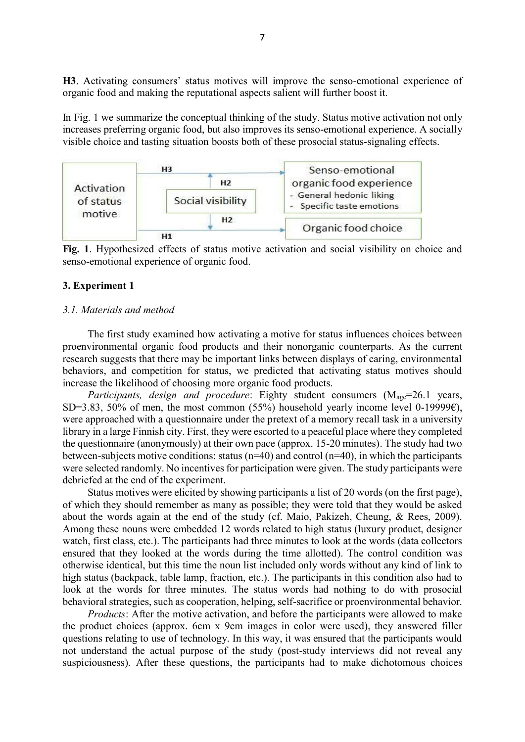H3. Activating consumers' status motives will improve the senso-emotional experience of organic food and making the reputational aspects salient will further boost it.

In Fig. 1 we summarize the conceptual thinking of the study. Status motive activation not only increases preferring organic food, but also improves its senso-emotional experience. A socially visible choice and tasting situation boosts both of these prosocial status-signaling effects.



**Fig. 1**. Hypothesized effects of status motive activation and social visibility on choice and senso-emotional experience of organic food.

### **3. Experiment 1**

#### *3.1. Materials and method*

The first study examined how activating a motive for status influences choices between proenvironmental organic food products and their nonorganic counterparts. As the current research suggests that there may be important links between displays of caring, environmental behaviors, and competition for status, we predicted that activating status motives should increase the likelihood of choosing more organic food products.

*Participants, design and procedure*: Eighty student consumers (M<sub>age</sub>=26.1 years, SD=3.83, 50% of men, the most common (55%) household yearly income level 0-19999 $\epsilon$ ), were approached with a questionnaire under the pretext of a memory recall task in a university library in a large Finnish city. First, they were escorted to a peaceful place where they completed the questionnaire (anonymously) at their own pace (approx. 15-20 minutes). The study had two between-subjects motive conditions: status ( $n=40$ ) and control ( $n=40$ ), in which the participants were selected randomly. No incentives for participation were given. The study participants were debriefed at the end of the experiment.

Status motives were elicited by showing participants a list of 20 words (on the first page), of which they should remember as many as possible; they were told that they would be asked about the words again at the end of the study (cf. Maio, Pakizeh, Cheung, & Rees, 2009). Among these nouns were embedded 12 words related to high status (luxury product, designer watch, first class, etc.). The participants had three minutes to look at the words (data collectors ensured that they looked at the words during the time allotted). The control condition was otherwise identical, but this time the noun list included only words without any kind of link to high status (backpack, table lamp, fraction, etc.). The participants in this condition also had to look at the words for three minutes. The status words had nothing to do with prosocial behavioral strategies, such as cooperation, helping, self-sacrifice or proenvironmental behavior.

*Products*: After the motive activation, and before the participants were allowed to make the product choices (approx. 6cm x 9cm images in color were used), they answered filler questions relating to use of technology. In this way, it was ensured that the participants would not understand the actual purpose of the study (post-study interviews did not reveal any suspiciousness). After these questions, the participants had to make dichotomous choices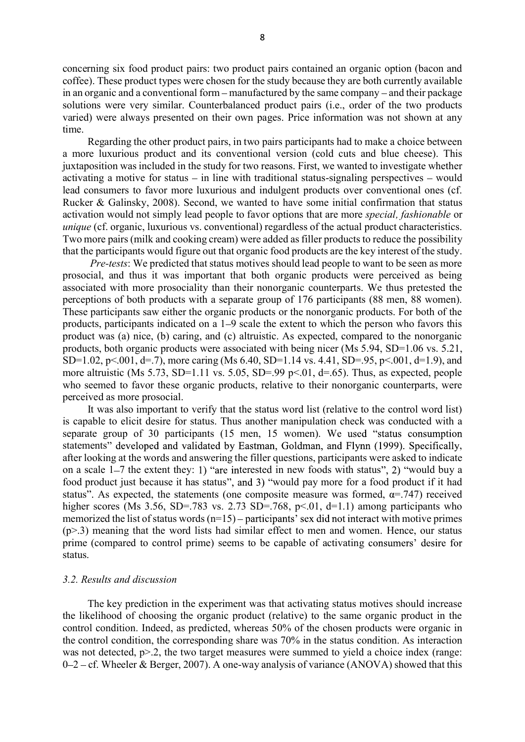concerning six food product pairs: two product pairs contained an organic option (bacon and coffee). These product types were chosen for the study because they are both currently available in an organic and a conventional form – manufactured by the same company – and their package solutions were very similar. Counterbalanced product pairs (i.e., order of the two products varied) were always presented on their own pages. Price information was not shown at any time.

Regarding the other product pairs, in two pairs participants had to make a choice between a more luxurious product and its conventional version (cold cuts and blue cheese). This juxtaposition was included in the study for two reasons. First, we wanted to investigate whether activating a motive for status  $-$  in line with traditional status-signaling perspectives  $-$  would lead consumers to favor more luxurious and indulgent products over conventional ones (cf. Rucker & Galinsky, 2008). Second, we wanted to have some initial confirmation that status activation would not simply lead people to favor options that are more *special, fashionable* or *unique* (cf. organic, luxurious vs. conventional) regardless of the actual product characteristics. Two more pairs (milk and cooking cream) were added as filler products to reduce the possibility that the participants would figure out that organic food products are the key interest of the study.

*Pre-tests*: We predicted that status motives should lead people to want to be seen as more prosocial, and thus it was important that both organic products were perceived as being associated with more prosociality than their nonorganic counterparts. We thus pretested the perceptions of both products with a separate group of 176 participants (88 men, 88 women). These participants saw either the organic products or the nonorganic products. For both of the products, participants indicated on a 1–9 scale the extent to which the person who favors this product was (a) nice, (b) caring, and (c) altruistic. As expected, compared to the nonorganic products, both organic products were associated with being nicer (Ms 5.94, SD=1.06 vs. 5.21, SD=1.02, p<.001, d=.7), more caring (Ms 6.40, SD=1.14 vs. 4.41, SD=.95, p<.001, d=1.9), and more altruistic (Ms 5.73, SD=1.11 vs. 5.05, SD=.99 p<.01, d=.65). Thus, as expected, people who seemed to favor these organic products, relative to their nonorganic counterparts, were perceived as more prosocial.

It was also important to verify that the status word list (relative to the control word list) is capable to elicit desire for status. Thus another manipulation check was conducted with a separate group of 30 participants (15 men, 15 women). We used "status consumption statements" developed and validated by Eastman, Goldman, and Flynn (1999). Specifically, after looking at the words and answering the filler questions, participants were asked to indicate on a scale  $1-7$  the extent they: 1) "are interested in new foods with status", 2) "would buy a food product just because it has status", and 3) "would pay more for a food product if it had status". As expected, the statements (one composite measure was formed,  $\alpha$ =.747) received higher scores (Ms 3.56, SD=.783 vs. 2.73 SD=.768, p<.01, d=1.1) among participants who memorized the list of status words  $(n=15)$  - participants' sex did not interact with motive primes  $(p>3)$  meaning that the word lists had similar effect to men and women. Hence, our status prime (compared to control prime) seems to be capable of activating consumers' desire for status.

#### *3.2. Results and discussion*

The key prediction in the experiment was that activating status motives should increase the likelihood of choosing the organic product (relative) to the same organic product in the control condition. Indeed, as predicted, whereas 50% of the chosen products were organic in the control condition, the corresponding share was 70% in the status condition. As interaction was not detected,  $p > 2$ , the two target measures were summed to yield a choice index (range:  $0 - 2 - cf.$  Wheeler & Berger, 2007). A one-way analysis of variance (ANOVA) showed that this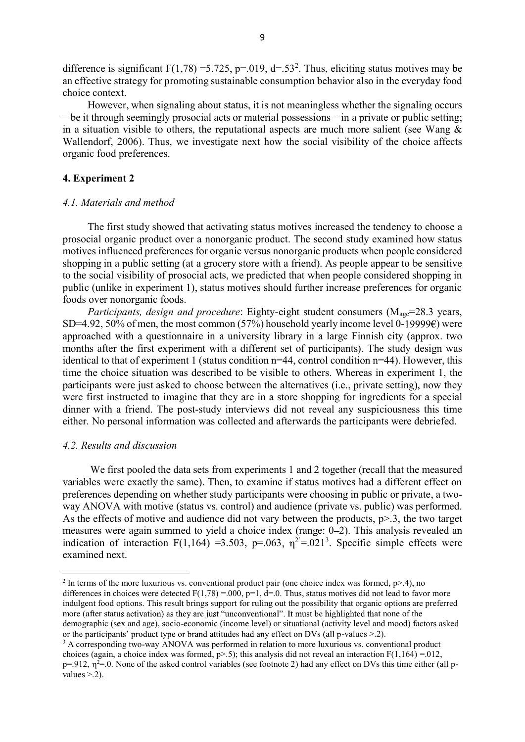difference is significant  $F(1,78) = 5.725$ , p=.019, d=.53<sup>2</sup>. Thus, eliciting status motives may be an effective strategy for promoting sustainable consumption behavior also in the everyday food choice context.

However, when signaling about status, it is not meaningless whether the signaling occurs  $-b$ e it through seemingly prosocial acts or material possessions  $-\text{ in a private or public setting};$ in a situation visible to others, the reputational aspects are much more salient (see Wang  $\&$ Wallendorf, 2006). Thus, we investigate next how the social visibility of the choice affects organic food preferences.

# **4. Experiment 2**

#### *4.1. Materials and method*

The first study showed that activating status motives increased the tendency to choose a prosocial organic product over a nonorganic product. The second study examined how status motives influenced preferences for organic versus nonorganic products when people considered shopping in a public setting (at a grocery store with a friend). As people appear to be sensitive to the social visibility of prosocial acts, we predicted that when people considered shopping in public (unlike in experiment 1), status motives should further increase preferences for organic foods over nonorganic foods.

*Participants, design and procedure:* Eighty-eight student consumers (M<sub>age</sub>=28.3 years, SD=4.92, 50% of men, the most common (57%) household yearly income level 0-19999 $\epsilon$ ) were approached with a questionnaire in a university library in a large Finnish city (approx. two months after the first experiment with a different set of participants). The study design was identical to that of experiment 1 (status condition n=44, control condition n=44). However, this time the choice situation was described to be visible to others. Whereas in experiment 1, the participants were just asked to choose between the alternatives (i.e., private setting), now they were first instructed to imagine that they are in a store shopping for ingredients for a special dinner with a friend. The post-study interviews did not reveal any suspiciousness this time either. No personal information was collected and afterwards the participants were debriefed.

#### *4.2. Results and discussion*

 We first pooled the data sets from experiments 1 and 2 together (recall that the measured variables were exactly the same). Then, to examine if status motives had a different effect on preferences depending on whether study participants were choosing in public or private, a twoway ANOVA with motive (status vs. control) and audience (private vs. public) was performed. As the effects of motive and audience did not vary between the products,  $p > 3$ , the two target measures were again summed to yield a choice index (range: 0–2). This analysis revealed an indication of interaction F(1,164) =3.503, p=.063,  $\eta^2$  =.021<sup>3</sup>. Specific simple effects were examined next.

<sup>&</sup>lt;sup>2</sup> In terms of the more luxurious vs. conventional product pair (one choice index was formed, p>.4), no differences in choices were detected  $F(1,78) = 0.00$ ,  $p=1$ ,  $d=0$ . Thus, status motives did not lead to favor more indulgent food options. This result brings support for ruling out the possibility that organic options are preferred more (after status activation) as they are just "unconventional". It must be highlighted that none of the demographic (sex and age), socio-economic (income level) or situational (activity level and mood) factors asked or the participants' product type or brand attitudes had any effect on DVs (all p-values  $> 2$ ).

<sup>&</sup>lt;sup>3</sup> A corresponding two-way ANOVA was performed in relation to more luxurious vs. conventional product choices (again, a choice index was formed, p>.5); this analysis did not reveal an interaction  $F(1,164) = .012$ ,  $p=912$ ,  $\eta^2=0$ . None of the asked control variables (see footnote 2) had any effect on DVs this time either (all pvalues  $> 2$ ).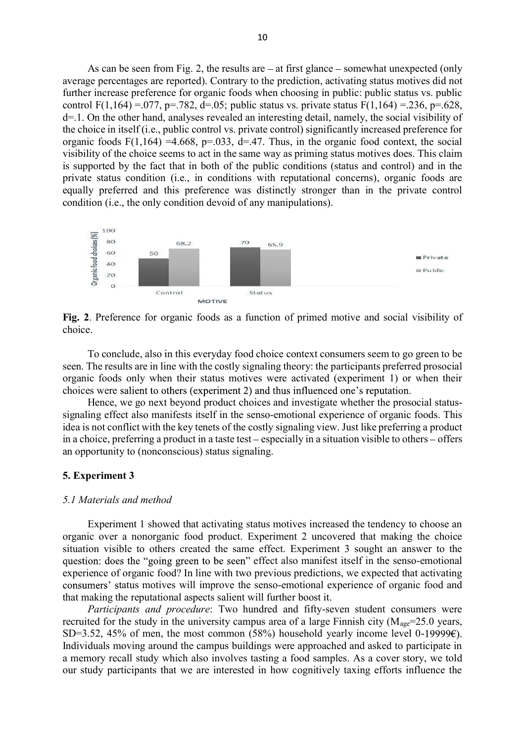As can be seen from Fig. 2, the results are  $-$  at first glance  $-$  somewhat unexpected (only average percentages are reported). Contrary to the prediction, activating status motives did not further increase preference for organic foods when choosing in public: public status vs. public control F(1,164) = 077, p=.782, d=.05; public status vs. private status F(1,164) = 236, p=.628, d=.1. On the other hand, analyses revealed an interesting detail, namely, the social visibility of the choice in itself (i.e., public control vs. private control) significantly increased preference for organic foods  $F(1,164) = 4.668$ ,  $p=0.033$ ,  $d=47$ . Thus, in the organic food context, the social visibility of the choice seems to act in the same way as priming status motives does. This claim is supported by the fact that in both of the public conditions (status and control) and in the private status condition (i.e., in conditions with reputational concerns), organic foods are equally preferred and this preference was distinctly stronger than in the private control condition (i.e., the only condition devoid of any manipulations).



**Fig. 2**. Preference for organic foods as a function of primed motive and social visibility of choice.

To conclude, also in this everyday food choice context consumers seem to go green to be seen. The results are in line with the costly signaling theory: the participants preferred prosocial organic foods only when their status motives were activated (experiment 1) or when their choices were salient to others (experiment 2) and thus influenced one's reputation.

Hence, we go next beyond product choices and investigate whether the prosocial statussignaling effect also manifests itself in the senso-emotional experience of organic foods. This idea is not conflict with the key tenets of the costly signaling view. Just like preferring a product in a choice, preferring a product in a taste test – especially in a situation visible to others – offers an opportunity to (nonconscious) status signaling.

#### **5. Experiment 3**

#### *5.1 Materials and method*

Experiment 1 showed that activating status motives increased the tendency to choose an organic over a nonorganic food product. Experiment 2 uncovered that making the choice situation visible to others created the same effect. Experiment 3 sought an answer to the question: does the "going green to be seen" effect also manifest itself in the senso-emotional experience of organic food? In line with two previous predictions, we expected that activating consumers' status motives will improve the senso-emotional experience of organic food and that making the reputational aspects salient will further boost it.

*Participants and procedure*: Two hundred and fifty-seven student consumers were recruited for the study in the university campus area of a large Finnish city ( $M_{\text{age}}$ =25.0 years, SD=3.52, 45% of men, the most common (58%) household yearly income level 0-19999 $\epsilon$ ). Individuals moving around the campus buildings were approached and asked to participate in a memory recall study which also involves tasting a food samples. As a cover story, we told our study participants that we are interested in how cognitively taxing efforts influence the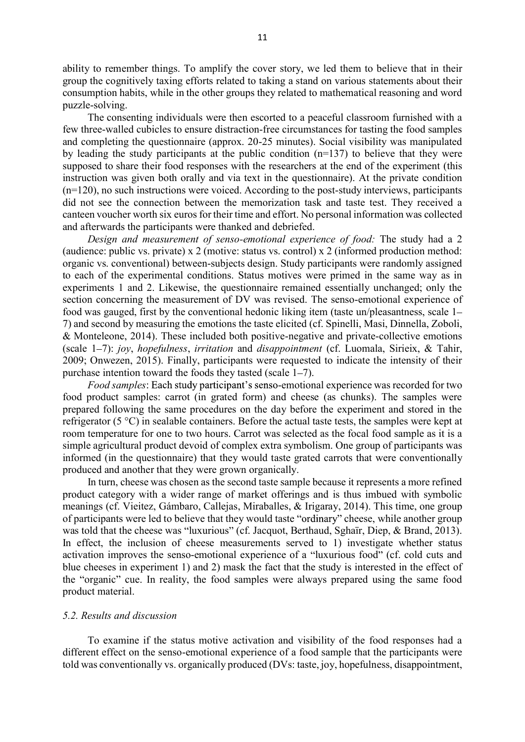ability to remember things. To amplify the cover story, we led them to believe that in their group the cognitively taxing efforts related to taking a stand on various statements about their consumption habits, while in the other groups they related to mathematical reasoning and word puzzle-solving.

The consenting individuals were then escorted to a peaceful classroom furnished with a few three-walled cubicles to ensure distraction-free circumstances for tasting the food samples and completing the questionnaire (approx. 20-25 minutes). Social visibility was manipulated by leading the study participants at the public condition (n=137) to believe that they were supposed to share their food responses with the researchers at the end of the experiment (this instruction was given both orally and via text in the questionnaire). At the private condition (n=120), no such instructions were voiced. According to the post-study interviews, participants did not see the connection between the memorization task and taste test. They received a canteen voucher worth six euros for their time and effort. No personal information was collected and afterwards the participants were thanked and debriefed.

*Design and measurement of senso-emotional experience of food:* The study had a 2 (audience: public vs. private) x 2 (motive: status vs. control) x 2 (informed production method: organic vs. conventional) between-subjects design. Study participants were randomly assigned to each of the experimental conditions. Status motives were primed in the same way as in experiments 1 and 2. Likewise, the questionnaire remained essentially unchanged; only the section concerning the measurement of DV was revised. The senso-emotional experience of food was gauged, first by the conventional hedonic liking item (taste un/pleasantness, scale 1 7) and second by measuring the emotions the taste elicited (cf. Spinelli, Masi, Dinnella, Zoboli, & Monteleone, 2014). These included both positive-negative and private-collective emotions (scale 1 7): *joy*, *hopefulness*, *irritation* and *disappointment* (cf. Luomala, Sirieix, & Tahir, 2009; Onwezen, 2015). Finally, participants were requested to indicate the intensity of their purchase intention toward the foods they tasted (scale  $1-7$ ).

*Food samples*: Each study participant's senso-emotional experience was recorded for two food product samples: carrot (in grated form) and cheese (as chunks). The samples were prepared following the same procedures on the day before the experiment and stored in the refrigerator (5 °C) in sealable containers. Before the actual taste tests, the samples were kept at room temperature for one to two hours. Carrot was selected as the focal food sample as it is a simple agricultural product devoid of complex extra symbolism. One group of participants was informed (in the questionnaire) that they would taste grated carrots that were conventionally produced and another that they were grown organically.

In turn, cheese was chosen as the second taste sample because it represents a more refined product category with a wider range of market offerings and is thus imbued with symbolic meanings (cf. Vieitez, Gámbaro, Callejas, Miraballes, & Irigaray, 2014). This time, one group of participants were led to believe that they would taste "ordinary" cheese, while another group was told that the cheese was "luxurious" (cf. Jacquot, Berthaud, Sghaïr, Diep, & Brand, 2013). In effect, the inclusion of cheese measurements served to 1) investigate whether status activation improves the senso-emotional experience of a "luxurious food" (cf. cold cuts and blue cheeses in experiment 1) and 2) mask the fact that the study is interested in the effect of the "organic" cue. In reality, the food samples were always prepared using the same food product material.

#### *5.2. Results and discussion*

To examine if the status motive activation and visibility of the food responses had a different effect on the senso-emotional experience of a food sample that the participants were told was conventionally vs. organically produced (DVs: taste, joy, hopefulness, disappointment,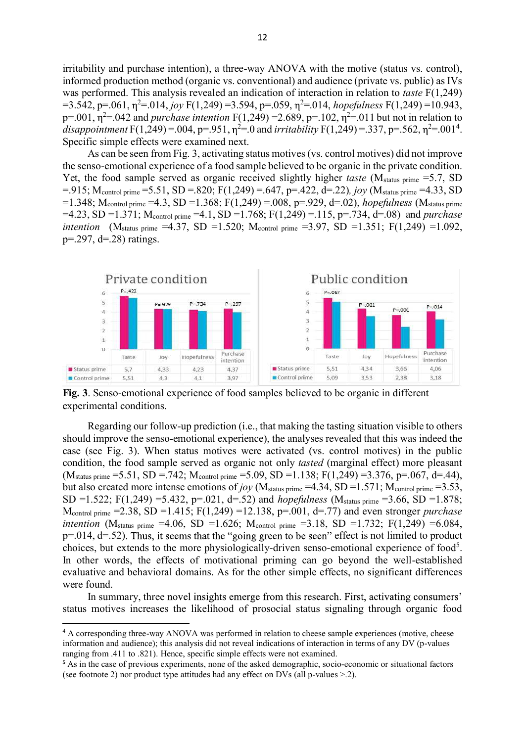irritability and purchase intention), a three-way ANOVA with the motive (status vs. control), informed production method (organic vs. conventional) and audience (private vs. public) as IVs was performed. This analysis revealed an indication of interaction in relation to *taste* F(1,249)  $=$  3.542, p=.061,  $\eta$ <sup>2</sup>=.014, *joy* F(1,249) = 3.594, p=.059,  $\eta$ <sup>2</sup>=.014, *hopefulness* F(1,249) = 10.943, p=.001,  $\eta^2$ =.042 and *purchase intention* F(1,249) =2.689, p=.102,  $\eta^2$ =.011 but not in relation to disappointment F(1,249) = .004, p=.951,  $\eta^2$ =.0 and *irritability* F(1,249) = .337, p=.562,  $\eta^2$ =.001<sup>4</sup>. Specific simple effects were examined next.

As can be seen from Fig. 3, activating status motives (vs. control motives) did not improve the senso-emotional experience of a food sample believed to be organic in the private condition. Yet, the food sample served as organic received slightly higher *taste* (M<sub>status prime</sub> =5.7, SD  $=$ .915; M<sub>control prime</sub>  $=$  5.51, SD  $=$ .820; F(1,249)  $=$ .647, p=.422, d=.22)*, joy* (M<sub>status prime</sub>  $=$  4.33, SD =1.348; Mcontrol prime =4.3, SD =1.368; F(1,249) =.008, p=.929, d=.02), *hopefulness* (Mstatus prime =4.23, SD =1.371; Mcontrol prime =4.1, SD =1.768; F(1,249) =.115, p=.734, d=.08) and *purchase intention* (M<sub>status prime</sub> =4.37, SD =1.520; M<sub>control</sub> prime =3.97, SD =1.351; F(1,249) =1.092,  $p = 297$ ,  $d = 28$ ) ratings.



**Fig. 3**. Senso-emotional experience of food samples believed to be organic in different experimental conditions.

Regarding our follow-up prediction (i.e., that making the tasting situation visible to others should improve the senso-emotional experience), the analyses revealed that this was indeed the case (see Fig. 3). When status motives were activated (vs. control motives) in the public condition, the food sample served as organic not only *tasted* (marginal effect) more pleasant  $(M_{\text{status prime}} = 5.51, SD = .742; M_{\text{control prime}} = 5.09, SD = 1.138; F(1,249) = 3.376, p = .067, d = .44),$ but also created more intense emotions of *joy* (M<sub>status prime</sub> =4.34, SD =1.571; M<sub>control</sub> prime =3.53, SD =1.522; F(1,249) =5.432, p=.021, d=.52) and *hopefulness* (Mstatus prime =3.66, SD =1.878; Mcontrol prime =2.38, SD =1.415; F(1,249) =12.138, p=.001, d=.77) and even stronger *purchase intention* (M<sub>status prime</sub> =4.06, SD =1.626; M<sub>control</sub> prime =3.18, SD =1.732; F(1,249) =6.084,  $p=0.014$ ,  $d=0.52$ ). Thus, it seems that the "going green to be seen" effect is not limited to product choices, but extends to the more physiologically-driven senso-emotional experience of food<sup>5</sup>. In other words, the effects of motivational priming can go beyond the well-established evaluative and behavioral domains. As for the other simple effects, no significant differences were found.

In summary, three novel insights emerge from this research. First, activating consumers' status motives increases the likelihood of prosocial status signaling through organic food

<sup>&</sup>lt;sup>4</sup> A corresponding three-way ANOVA was performed in relation to cheese sample experiences (motive, cheese information and audience); this analysis did not reveal indications of interaction in terms of any DV (p-values ranging from .411 to .821). Hence, specific simple effects were not examined.

<sup>&</sup>lt;sup>5</sup> As in the case of previous experiments, none of the asked demographic, socio-economic or situational factors (see footnote 2) nor product type attitudes had any effect on DVs (all p-values >.2).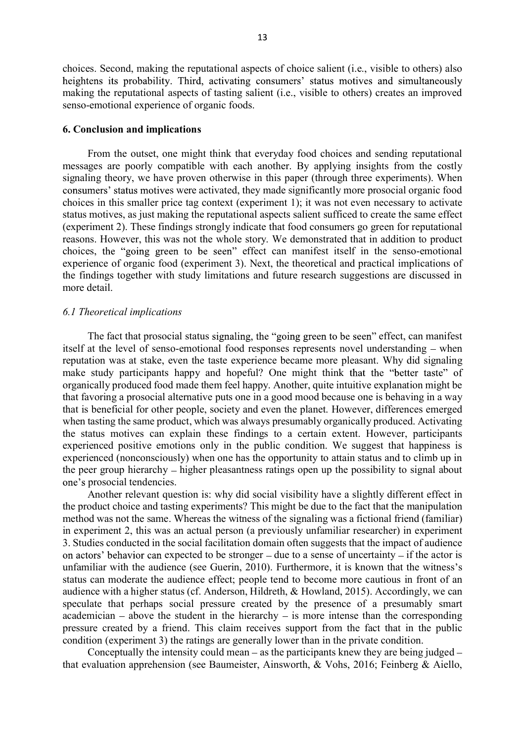choices. Second, making the reputational aspects of choice salient (i.e., visible to others) also heightens its probability. Third, activating consumers' status motives and simultaneously making the reputational aspects of tasting salient (i.e., visible to others) creates an improved senso-emotional experience of organic foods.

#### **6. Conclusion and implications**

From the outset, one might think that everyday food choices and sending reputational messages are poorly compatible with each another. By applying insights from the costly signaling theory, we have proven otherwise in this paper (through three experiments). When consumers' status motives were activated, they made significantly more prosocial organic food choices in this smaller price tag context (experiment 1); it was not even necessary to activate status motives, as just making the reputational aspects salient sufficed to create the same effect (experiment 2). These findings strongly indicate that food consumers go green for reputational reasons. However, this was not the whole story. We demonstrated that in addition to product choices, the "going green to be seen" effect can manifest itself in the senso-emotional experience of organic food (experiment 3). Next, the theoretical and practical implications of the findings together with study limitations and future research suggestions are discussed in more detail.

#### *6.1 Theoretical implications*

The fact that prosocial status signaling, the "going green to be seen" effect, can manifest itself at the level of senso-emotional food responses represents novel understanding  $-$  when reputation was at stake, even the taste experience became more pleasant. Why did signaling make study participants happy and hopeful? One might think that the "better taste" of organically produced food made them feel happy. Another, quite intuitive explanation might be that favoring a prosocial alternative puts one in a good mood because one is behaving in a way that is beneficial for other people, society and even the planet. However, differences emerged when tasting the same product, which was always presumably organically produced. Activating the status motives can explain these findings to a certain extent. However, participants experienced positive emotions only in the public condition. We suggest that happiness is experienced (nonconsciously) when one has the opportunity to attain status and to climb up in the peer group hierarchy  $-$  higher pleasantness ratings open up the possibility to signal about one's prosocial tendencies.

Another relevant question is: why did social visibility have a slightly different effect in the product choice and tasting experiments? This might be due to the fact that the manipulation method was not the same. Whereas the witness of the signaling was a fictional friend (familiar) in experiment 2, this was an actual person (a previously unfamiliar researcher) in experiment 3. Studies conducted in the social facilitation domain often suggests that the impact of audience on actors' behavior can expected to be stronger  $-$  due to a sense of uncertainty  $-$  if the actor is unfamiliar with the audience (see Guerin, 2010). Furthermore, it is known that the witness's status can moderate the audience effect; people tend to become more cautious in front of an audience with a higher status (cf. Anderson, Hildreth, & Howland, 2015). Accordingly, we can speculate that perhaps social pressure created by the presence of a presumably smart academician  $-$  above the student in the hierarchy  $-$  is more intense than the corresponding pressure created by a friend. This claim receives support from the fact that in the public condition (experiment 3) the ratings are generally lower than in the private condition.

Conceptually the intensity could mean  $-$  as the participants knew they are being judged  $$ that evaluation apprehension (see Baumeister, Ainsworth, & Vohs, 2016; Feinberg & Aiello,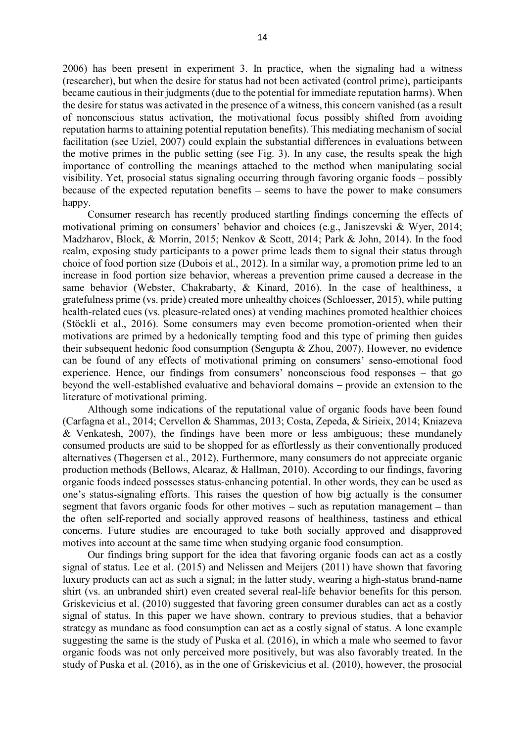2006) has been present in experiment 3. In practice, when the signaling had a witness (researcher), but when the desire for status had not been activated (control prime), participants became cautious in their judgments (due to the potential for immediate reputation harms). When the desire for status was activated in the presence of a witness, this concern vanished (as a result of nonconscious status activation, the motivational focus possibly shifted from avoiding reputation harms to attaining potential reputation benefits). This mediating mechanism of social facilitation (see Uziel, 2007) could explain the substantial differences in evaluations between the motive primes in the public setting (see Fig. 3). In any case, the results speak the high importance of controlling the meanings attached to the method when manipulating social visibility. Yet, prosocial status signaling occurring through favoring organic foods possibly because of the expected reputation benefits  $-$  seems to have the power to make consumers happy.

Consumer research has recently produced startling findings concerning the effects of motivational priming on consumers' behavior and choices (e.g., Janiszevski & Wyer, 2014; Madzharov, Block, & Morrin, 2015; Nenkov & Scott, 2014; Park & John, 2014). In the food realm, exposing study participants to a power prime leads them to signal their status through choice of food portion size (Dubois et al., 2012). In a similar way, a promotion prime led to an increase in food portion size behavior, whereas a prevention prime caused a decrease in the same behavior (Webster, Chakrabarty, & Kinard, 2016). In the case of healthiness, a gratefulness prime (vs. pride) created more unhealthy choices (Schloesser, 2015), while putting health-related cues (vs. pleasure-related ones) at vending machines promoted healthier choices (Stöckli et al., 2016). Some consumers may even become promotion-oriented when their motivations are primed by a hedonically tempting food and this type of priming then guides their subsequent hedonic food consumption (Sengupta & Zhou, 2007). However, no evidence can be found of any effects of motivational priming on consumers' senso-emotional food experience. Hence, our findings from consumers' nonconscious food responses – that go beyond the well-established evaluative and behavioral domains – provide an extension to the literature of motivational priming.

Although some indications of the reputational value of organic foods have been found (Carfagna et al., 2014; Cervellon & Shammas, 2013; Costa, Zepeda, & Sirieix, 2014; Kniazeva & Venkatesh, 2007), the findings have been more or less ambiguous; these mundanely consumed products are said to be shopped for as effortlessly as their conventionally produced alternatives (Thøgersen et al., 2012). Furthermore, many consumers do not appreciate organic production methods (Bellows, Alcaraz, & Hallman, 2010). According to our findings, favoring organic foods indeed possesses status-enhancing potential. In other words, they can be used as one's status-signaling efforts. This raises the question of how big actually is the consumer segment that favors organic foods for other motives  $-$  such as reputation management  $-$  than the often self-reported and socially approved reasons of healthiness, tastiness and ethical concerns. Future studies are encouraged to take both socially approved and disapproved motives into account at the same time when studying organic food consumption.

Our findings bring support for the idea that favoring organic foods can act as a costly signal of status. Lee et al. (2015) and Nelissen and Meijers (2011) have shown that favoring luxury products can act as such a signal; in the latter study, wearing a high-status brand-name shirt (vs. an unbranded shirt) even created several real-life behavior benefits for this person. Griskevicius et al. (2010) suggested that favoring green consumer durables can act as a costly signal of status. In this paper we have shown, contrary to previous studies, that a behavior strategy as mundane as food consumption can act as a costly signal of status. A lone example suggesting the same is the study of Puska et al. (2016), in which a male who seemed to favor organic foods was not only perceived more positively, but was also favorably treated. In the study of Puska et al. (2016), as in the one of Griskevicius et al. (2010), however, the prosocial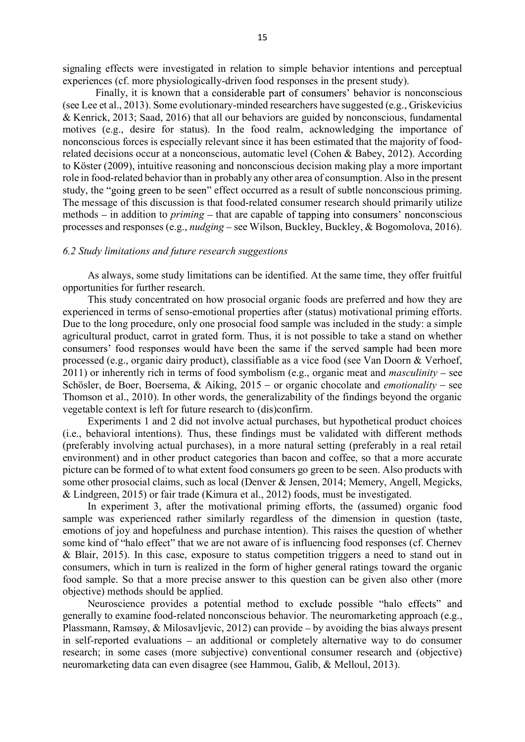signaling effects were investigated in relation to simple behavior intentions and perceptual experiences (cf. more physiologically-driven food responses in the present study).

Finally, it is known that a considerable part of consumers' behavior is nonconscious (see Lee et al., 2013). Some evolutionary-minded researchers have suggested (e.g., Griskevicius & Kenrick, 2013; Saad, 2016) that all our behaviors are guided by nonconscious, fundamental motives (e.g., desire for status). In the food realm, acknowledging the importance of nonconscious forces is especially relevant since it has been estimated that the majority of foodrelated decisions occur at a nonconscious, automatic level (Cohen & Babey, 2012). According to Köster (2009), intuitive reasoning and nonconscious decision making play a more important role in food-related behavior than in probably any other area of consumption. Also in the present study, the "going green to be seen" effect occurred as a result of subtle nonconscious priming. The message of this discussion is that food-related consumer research should primarily utilize methods – in addition to *priming* – that are capable of tapping into consumers' nonconscious processes and responses (e.g., *nudging* – see Wilson, Buckley, Buckley, & Bogomolova, 2016).

#### *6.2 Study limitations and future research suggestions*

As always, some study limitations can be identified. At the same time, they offer fruitful opportunities for further research.

This study concentrated on how prosocial organic foods are preferred and how they are experienced in terms of senso-emotional properties after (status) motivational priming efforts. Due to the long procedure, only one prosocial food sample was included in the study: a simple agricultural product, carrot in grated form. Thus, it is not possible to take a stand on whether consumers' food responses would have been the same if the served sample had been more processed (e.g., organic dairy product), classifiable as a vice food (see Van Doorn & Verhoef,  $2011$ ) or inherently rich in terms of food symbolism (e.g., organic meat and *masculinity* – see Schösler, de Boer, Boersema,  $\&$  Aiking, 2015 – or organic chocolate and *emotionality* – see Thomson et al., 2010). In other words, the generalizability of the findings beyond the organic vegetable context is left for future research to (dis)confirm.

Experiments 1 and 2 did not involve actual purchases, but hypothetical product choices (i.e., behavioral intentions). Thus, these findings must be validated with different methods (preferably involving actual purchases), in a more natural setting (preferably in a real retail environment) and in other product categories than bacon and coffee, so that a more accurate picture can be formed of to what extent food consumers go green to be seen. Also products with some other prosocial claims, such as local (Denver & Jensen, 2014; Memery, Angell, Megicks, & Lindgreen, 2015) or fair trade (Kimura et al., 2012) foods, must be investigated.

In experiment 3, after the motivational priming efforts, the (assumed) organic food sample was experienced rather similarly regardless of the dimension in question (taste, emotions of joy and hopefulness and purchase intention). This raises the question of whether some kind of "halo effect" that we are not aware of is influencing food responses (cf. Chernev & Blair, 2015). In this case, exposure to status competition triggers a need to stand out in consumers, which in turn is realized in the form of higher general ratings toward the organic food sample. So that a more precise answer to this question can be given also other (more objective) methods should be applied.

Neuroscience provides a potential method to exclude possible "halo effects" and generally to examine food-related nonconscious behavior. The neuromarketing approach (e.g., Plassmann, Ramsøy, & Milosavljevic, 2012) can provide – by avoiding the bias always present in self-reported evaluations – an additional or completely alternative way to do consumer research; in some cases (more subjective) conventional consumer research and (objective) neuromarketing data can even disagree (see Hammou, Galib, & Melloul, 2013).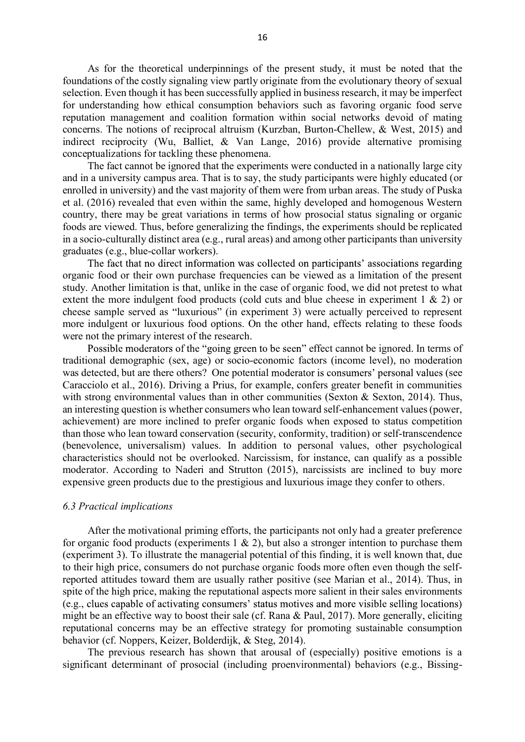As for the theoretical underpinnings of the present study, it must be noted that the foundations of the costly signaling view partly originate from the evolutionary theory of sexual selection. Even though it has been successfully applied in business research, it may be imperfect for understanding how ethical consumption behaviors such as favoring organic food serve reputation management and coalition formation within social networks devoid of mating concerns. The notions of reciprocal altruism (Kurzban, Burton-Chellew, & West, 2015) and indirect reciprocity (Wu, Balliet, & Van Lange, 2016) provide alternative promising conceptualizations for tackling these phenomena.

The fact cannot be ignored that the experiments were conducted in a nationally large city and in a university campus area. That is to say, the study participants were highly educated (or enrolled in university) and the vast majority of them were from urban areas. The study of Puska et al. (2016) revealed that even within the same, highly developed and homogenous Western country, there may be great variations in terms of how prosocial status signaling or organic foods are viewed. Thus, before generalizing the findings, the experiments should be replicated in a socio-culturally distinct area (e.g., rural areas) and among other participants than university graduates (e.g., blue-collar workers).

The fact that no direct information was collected on participants' associations regarding organic food or their own purchase frequencies can be viewed as a limitation of the present study. Another limitation is that, unlike in the case of organic food, we did not pretest to what extent the more indulgent food products (cold cuts and blue cheese in experiment 1 & 2) or cheese sample served as "luxurious" (in experiment 3) were actually perceived to represent more indulgent or luxurious food options. On the other hand, effects relating to these foods were not the primary interest of the research.

Possible moderators of the "going green to be seen" effect cannot be ignored. In terms of traditional demographic (sex, age) or socio-economic factors (income level), no moderation was detected, but are there others? One potential moderator is consumers' personal values (see Caracciolo et al., 2016). Driving a Prius, for example, confers greater benefit in communities with strong environmental values than in other communities (Sexton & Sexton, 2014). Thus, an interesting question is whether consumers who lean toward self-enhancement values (power, achievement) are more inclined to prefer organic foods when exposed to status competition than those who lean toward conservation (security, conformity, tradition) or self-transcendence (benevolence, universalism) values. In addition to personal values, other psychological characteristics should not be overlooked. Narcissism, for instance, can qualify as a possible moderator. According to Naderi and Strutton (2015), narcissists are inclined to buy more expensive green products due to the prestigious and luxurious image they confer to others.

#### *6.3 Practical implications*

After the motivational priming efforts, the participants not only had a greater preference for organic food products (experiments  $1 \& 2$ ), but also a stronger intention to purchase them (experiment 3). To illustrate the managerial potential of this finding, it is well known that, due to their high price, consumers do not purchase organic foods more often even though the selfreported attitudes toward them are usually rather positive (see Marian et al., 2014). Thus, in spite of the high price, making the reputational aspects more salient in their sales environments (e.g., clues capable of activating consumers' status motives and more visible selling locations) might be an effective way to boost their sale (cf. Rana & Paul, 2017). More generally, eliciting reputational concerns may be an effective strategy for promoting sustainable consumption behavior (cf. Noppers, Keizer, Bolderdijk, & Steg, 2014).

The previous research has shown that arousal of (especially) positive emotions is a significant determinant of prosocial (including proenvironmental) behaviors (e.g., Bissing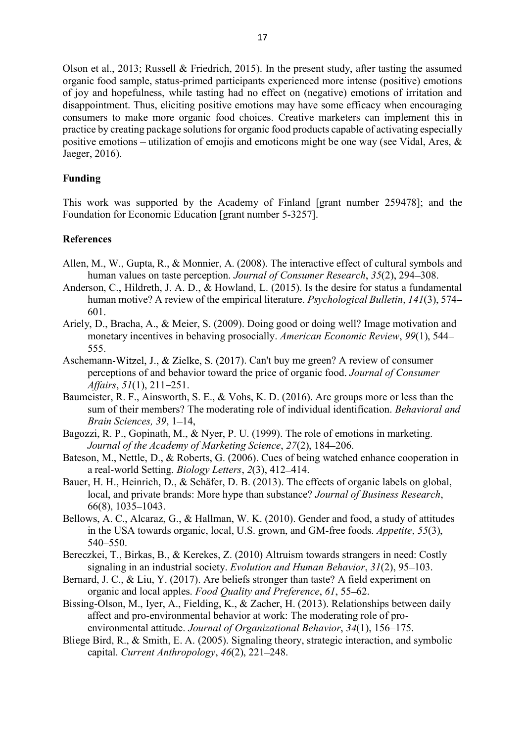Olson et al., 2013; Russell & Friedrich, 2015). In the present study, after tasting the assumed organic food sample, status-primed participants experienced more intense (positive) emotions of joy and hopefulness, while tasting had no effect on (negative) emotions of irritation and disappointment. Thus, eliciting positive emotions may have some efficacy when encouraging consumers to make more organic food choices. Creative marketers can implement this in practice by creating package solutions for organic food products capable of activating especially positive emotions – utilization of emojis and emoticons might be one way (see Vidal, Ares,  $\&$ Jaeger, 2016).

# **Funding**

This work was supported by the Academy of Finland [grant number 259478]; and the Foundation for Economic Education [grant number 5-3257].

# **References**

- Allen, M., W., Gupta, R., & Monnier, A. (2008). The interactive effect of cultural symbols and human values on taste perception. *Journal of Consumer Research*, 35(2), 294–308.
- Anderson, C., Hildreth, J. A. D., & Howland, L. (2015). Is the desire for status a fundamental human motive? A review of the empirical literature. *Psychological Bulletin*, *141*(3), 574 601.
- Ariely, D., Bracha, A., & Meier, S. (2009). Doing good or doing well? Image motivation and monetary incentives in behaving prosocially. *American Economic Review*, *99*(1), 544 555.
- Aschemann-Witzel, J., & Zielke, S. (2017). Can't buy me green? A review of consumer perceptions of and behavior toward the price of organic food. *Journal of Consumer Affairs*, *51*(1), 211–251.
- Baumeister, R. F., Ainsworth, S. E., & Vohs, K. D. (2016). Are groups more or less than the sum of their members? The moderating role of individual identification. *Behavioral and Brain Sciences, 39, 1-14,*
- Bagozzi, R. P., Gopinath, M., & Nyer, P. U. (1999). The role of emotions in marketing. *Journal of the Academy of Marketing Science, 27(2), 184-206.*
- Bateson, M., Nettle, D., & Roberts, G. (2006). Cues of being watched enhance cooperation in a real-world Setting. *Biology Letters*, 2(3), 412–414.
- Bauer, H. H., Heinrich, D., & Schäfer, D. B. (2013). The effects of organic labels on global, local, and private brands: More hype than substance? *Journal of Business Research*, 66(8), 1035-1043.
- Bellows, A. C., Alcaraz, G., & Hallman, W. K. (2010). Gender and food, a study of attitudes in the USA towards organic, local, U.S. grown, and GM-free foods. *Appetite*, *55*(3), 540 - 550.
- Bereczkei, T., Birkas, B., & Kerekes, Z. (2010) Altruism towards strangers in need: Costly signaling in an industrial society. *Evolution and Human Behavior*, 31(2), 95–103.
- Bernard, J. C., & Liu, Y. (2017). Are beliefs stronger than taste? A field experiment on organic and local apples. *Food Quality and Preference*, 61, 55–62.
- Bissing-Olson, M., Iyer, A., Fielding, K., & Zacher, H. (2013). Relationships between daily affect and pro-environmental behavior at work: The moderating role of proenvironmental attitude. *Journal of Organizational Behavior*, 34(1), 156–175.
- Bliege Bird, R., & Smith, E. A. (2005). Signaling theory, strategic interaction, and symbolic capital. *Current Anthropology*, 46(2), 221-248.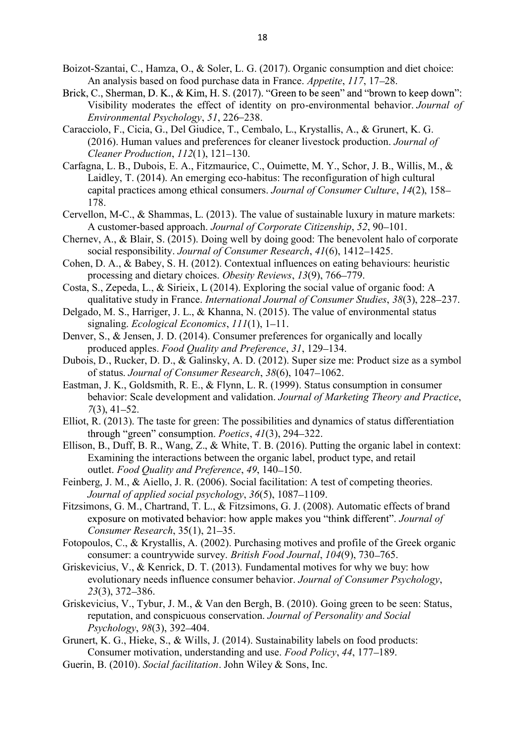- Boizot-Szantai, C., Hamza, O., & Soler, L. G. (2017). Organic consumption and diet choice: An analysis based on food purchase data in France. *Appetite*, 117, 17–28.
- Brick, C., Sherman, D. K., & Kim, H. S. (2017). "Green to be seen" and "brown to keep down": Visibility moderates the effect of identity on pro-environmental behavior. *Journal of Environmental Psychology, 51, 226–238.*
- Caracciolo, F., Cicia, G., Del Giudice, T., Cembalo, L., Krystallis, A., & Grunert, K. G. (2016). Human values and preferences for cleaner livestock production. *Journal of Cleaner Production, 112(1), 121-130.*
- Carfagna, L. B., Dubois, E. A., Fitzmaurice, C., Ouimette, M. Y., Schor, J. B., Willis, M., & Laidley, T. (2014). An emerging eco-habitus: The reconfiguration of high cultural capital practices among ethical consumers. *Journal of Consumer Culture*, *14*(2), 158 178.
- Cervellon, M-C., & Shammas, L. (2013). The value of sustainable luxury in mature markets: A customer-based approach. *Journal of Corporate Citizenship*, 52, 90–101.
- Chernev, A., & Blair, S. (2015). Doing well by doing good: The benevolent halo of corporate social responsibility. *Journal of Consumer Research*,  $41(6)$ , 1412–1425.
- Cohen, D. A., & Babey, S. H. (2012). Contextual influences on eating behaviours: heuristic processing and dietary choices. *Obesity Reviews*, 13(9), 766–779.
- Costa, S., Zepeda, L., & Sirieix, L (2014). Exploring the social value of organic food: A qualitative study in France. *International Journal of Consumer Studies*, 38(3), 228–237.
- Delgado, M. S., Harriger, J. L., & Khanna, N. (2015). The value of environmental status signaling. *Ecological Economics*, *111*(1), 1–11.
- Denver, S., & Jensen, J. D. (2014). Consumer preferences for organically and locally produced apples. *Food Quality and Preference*, 31, 129–134.
- Dubois, D., Rucker, D. D., & Galinsky, A. D. (2012). Super size me: Product size as a symbol of status. *Journal of Consumer Research*, 38(6), 1047–1062.
- Eastman, J. K., Goldsmith, R. E., & Flynn, L. R. (1999). Status consumption in consumer behavior: Scale development and validation. *Journal of Marketing Theory and Practice*, *7*(3), 41–52.
- Elliot, R. (2013). The taste for green: The possibilities and dynamics of status differentiation *through "green" consumption. Poetics,*  $41(3)$ *,*  $294-322$ *.*
- Ellison, B., Duff, B. R., Wang, Z., & White, T. B. (2016). Putting the organic label in context: Examining the interactions between the organic label, product type, and retail outlet. *Food Ouality and Preference*, 49, 140-150.
- Feinberg, J. M., & Aiello, J. R. (2006). Social facilitation: A test of competing theories. *Journal of applied social psychology, 36(5), 1087–1109.*
- Fitzsimons, G. M., Chartrand, T. L., & Fitzsimons, G. J. (2008). Automatic effects of brand exposure on motivated behavior: how apple makes you "think different". *Journal of Consumer Research*, 35(1), 21–35.
- Fotopoulos, C., & Krystallis, A. (2002). Purchasing motives and profile of the Greek organic consumer: a countrywide survey. *British Food Journal*, 104(9), 730–765.
- Griskevicius, V., & Kenrick, D. T. (2013). Fundamental motives for why we buy: how evolutionary needs influence consumer behavior. *Journal of Consumer Psychology*, *23*(3), 372 386.
- Griskevicius, V., Tybur, J. M., & Van den Bergh, B. (2010). Going green to be seen: Status, reputation, and conspicuous conservation. *Journal of Personality and Social Psychology*, 98(3), 392–404.
- Grunert, K. G., Hieke, S., & Wills, J. (2014). Sustainability labels on food products: Consumer motivation, understanding and use. *Food Policy*, *44*, 177 189.
- Guerin, B. (2010). *Social facilitation*. John Wiley & Sons, Inc.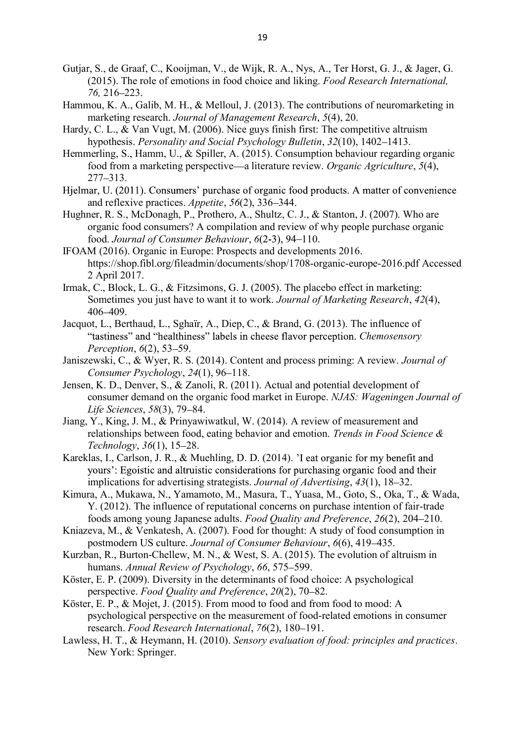- Gutjar, S., de Graaf, C., Kooijman, V., de Wijk, R. A., Nys, A., Ter Horst, G. J., & Jager, G. (2015). The role of emotions in food choice and liking. *Food Research International, 76,* 216 223.
- Hammou, K. A., Galib, M. H., & Melloul, J. (2013). The contributions of neuromarketing in marketing research. *Journal of Management Research*, *5*(4), 20.
- Hardy, C. L., & Van Vugt, M. (2006). Nice guys finish first: The competitive altruism hypothesis. *Personality and Social Psychology Bulletin*, 32(10), 1402–1413.
- Hemmerling, S., Hamm, U., & Spiller, A. (2015). Consumption behaviour regarding organic food from a marketing perspective—a literature review. *Organic Agriculture*, 5(4), 277-313.
- Hielmar, U. (2011). Consumers' purchase of organic food products. A matter of convenience and reflexive practices. *Appetite*, 56(2), 336–344.
- Hughner, R. S., McDonagh, P., Prothero, A., Shultz, C. J., & Stanton, J. (2007). Who are organic food consumers? A compilation and review of why people purchase organic food. *Journal of Consumer Behaviour*,  $6(2-3)$ , 94-110.
- IFOAM (2016). Organic in Europe: Prospects and developments 2016. https://shop.fibl.org/fileadmin/documents/shop/1708-organic-europe-2016.pdf Accessed 2 April 2017.
- Irmak, C., Block, L. G., & Fitzsimons, G. J. (2005). The placebo effect in marketing: Sometimes you just have to want it to work. *Journal of Marketing Research*, *42*(4), 406-409
- Jacquot, L., Berthaud, L., Sghaïr, A., Diep, C., & Brand, G. (2013). The influence of "tastiness" and "healthiness" labels in cheese flavor perception. *Chemosensory Perception*,  $6(2)$ , 53–59.
- Janiszewski, C., & Wyer, R. S. (2014). Content and process priming: A review. *Journal of Consumer Psychology*, 24(1), 96–118.
- Jensen, K. D., Denver, S., & Zanoli, R. (2011). Actual and potential development of consumer demand on the organic food market in Europe. *NJAS: Wageningen Journal of Life Sciences*,  $58(3)$ , 79-84.
- Jiang, Y., King, J. M., & Prinyawiwatkul, W. (2014). A review of measurement and relationships between food, eating behavior and emotion. *Trends in Food Science & Technology*, 36(1), 15–28.
- Kareklas, I., Carlson, J. R., & Muehling, D. D. (2014). 'I eat organic for my benefit and yours': Egoistic and altruistic considerations for purchasing organic food and their implications for advertising strategists. *Journal of Advertising*, 43(1), 18–32.
- Kimura, A., Mukawa, N., Yamamoto, M., Masura, T., Yuasa, M., Goto, S., Oka, T., & Wada, Y. (2012). The influence of reputational concerns on purchase intention of fair-trade foods among young Japanese adults. *Food Quality and Preference*, *26*(2), 204 210.
- Kniazeva, M., & Venkatesh, A. (2007). Food for thought: A study of food consumption in postmodern US culture. *Journal of Consumer Behaviour*, *6*(6), 419 435.
- Kurzban, R., Burton-Chellew, M. N., & West, S. A. (2015). The evolution of altruism in humans. *Annual Review of Psychology*, 66, 575–599.
- Köster, E. P. (2009). Diversity in the determinants of food choice: A psychological perspective. *Food Quality and Preference*, 20(2), 70–82.
- Köster, E. P., & Mojet, J. (2015). From mood to food and from food to mood: A psychological perspective on the measurement of food-related emotions in consumer research. *Food Research International*,  $76(2)$ , 180-191.
- Lawless, H. T., & Heymann, H. (2010). *Sensory evaluation of food: principles and practices*. New York: Springer.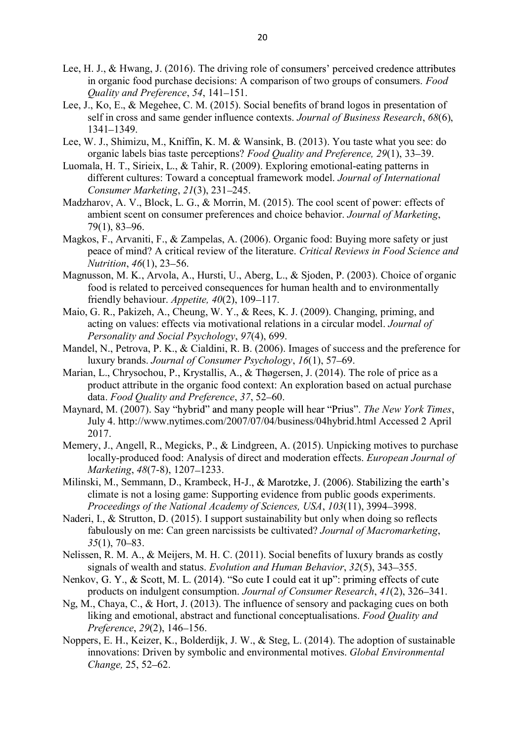- Lee, H. J., & Hwang, J. (2016). The driving role of consumers' perceived credence attributes in organic food purchase decisions: A comparison of two groups of consumers. *Food <u>Ouality and Preference</u>*, 54, 141–151.
- Lee, J., Ko, E., & Megehee, C. M. (2015). Social benefits of brand logos in presentation of self in cross and same gender influence contexts. *Journal of Business Research*, *68*(6), 1341 - 1349.
- Lee, W. J., Shimizu, M., Kniffin, K. M. & Wansink, B. (2013). You taste what you see: do organic labels bias taste perceptions? *Food Quality and Preference*, 29(1), 33–39.
- Luomala, H. T., Sirieix, L., & Tahir, R. (2009). Exploring emotional-eating patterns in different cultures: Toward a conceptual framework model. *Journal of International Consumer Marketing, 21(3), 231–245.*
- Madzharov, A. V., Block, L. G., & Morrin, M. (2015). The cool scent of power: effects of ambient scent on consumer preferences and choice behavior. *Journal of Marketing*,  $79(1)$ , 83-96.
- Magkos, F., Arvaniti, F., & Zampelas, A. (2006). Organic food: Buying more safety or just peace of mind? A critical review of the literature. *Critical Reviews in Food Science and Nutrition*, 46(1), 23–56.
- Magnusson, M. K., Arvola, A., Hursti, U., Aberg, L., & Sjoden, P. (2003). Choice of organic food is related to perceived consequences for human health and to environmentally friendly behaviour. *Appetite*, 40(2), 109–117.
- Maio, G. R., Pakizeh, A., Cheung, W. Y., & Rees, K. J. (2009). Changing, priming, and acting on values: effects via motivational relations in a circular model. *Journal of Personality and Social Psychology*, *97*(4), 699.
- Mandel, N., Petrova, P. K., & Cialdini, R. B. (2006). Images of success and the preference for luxury brands. *Journal of Consumer Psychology*, 16(1), 57–69.
- Marian, L., Chrysochou, P., Krystallis, A., & Thøgersen, J. (2014). The role of price as a product attribute in the organic food context: An exploration based on actual purchase data. *Food Quality and Preference*, 37, 52-60.
- Maynard, M. (2007). Say "hybrid" and many people will hear "Prius". The New York Times, July 4. http://www.nytimes.com/2007/07/04/business/04hybrid.html Accessed 2 April 2017.
- Memery, J., Angell, R., Megicks, P., & Lindgreen, A. (2015). Unpicking motives to purchase locally-produced food: Analysis of direct and moderation effects. *European Journal of Marketing*, 48(7-8), 1207–1233.
- Milinski, M., Semmann, D., Krambeck, H-J., & Marotzke, J. (2006). Stabilizing the earth's climate is not a losing game: Supporting evidence from public goods experiments. *Proceedings of the National Academy of Sciences, USA*, *103*(11), 3994 3998.
- Naderi, I., & Strutton, D. (2015). I support sustainability but only when doing so reflects fabulously on me: Can green narcissists be cultivated? *Journal of Macromarketing*, 35<sup>(1)</sup>, 70–83.
- Nelissen, R. M. A., & Meijers, M. H. C. (2011). Social benefits of luxury brands as costly signals of wealth and status. *Evolution and Human Behavior*, 32(5), 343–355.
- Nenkov, G. Y., & Scott, M. L. (2014). "So cute I could eat it up": priming effects of cute products on indulgent consumption. *Journal of Consumer Research*, 41(2), 326–341.
- Ng, M., Chaya, C., & Hort, J. (2013). The influence of sensory and packaging cues on both liking and emotional, abstract and functional conceptualisations. *Food Quality and Preference*, 29(2), 146–156.
- Noppers, E. H., Keizer, K., Bolderdijk, J. W., & Steg, L. (2014). The adoption of sustainable innovations: Driven by symbolic and environmental motives. *Global Environmental Change, 25, 52–62.*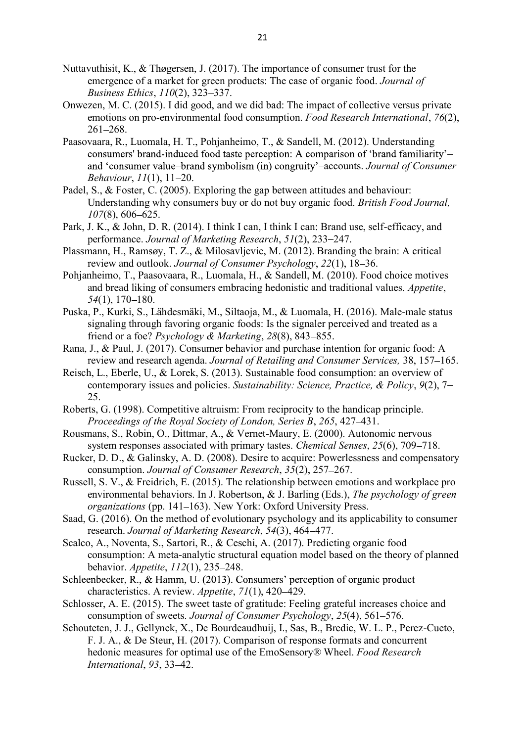- Nuttavuthisit, K., & Thøgersen, J. (2017). The importance of consumer trust for the emergence of a market for green products: The case of organic food. *Journal of Business Ethics*, *110*(2), 323-337.
- Onwezen, M. C. (2015). I did good, and we did bad: The impact of collective versus private emotions on pro-environmental food consumption. *Food Research International*, *76*(2),  $261 - 268$ .
- Paasovaara, R., Luomala, H. T., Pohjanheimo, T., & Sandell, M. (2012). Understanding consumers' brand-induced food taste perception: A comparison of 'brand familiarity'and 'consumer value-brand symbolism (in) congruity'-accounts. *Journal of Consumer Behaviour*,  $11(1)$ ,  $11-20$ .
- Padel, S., & Foster, C. (2005). Exploring the gap between attitudes and behaviour: Understanding why consumers buy or do not buy organic food. *British Food Journal, 107*(8), 606–625.
- Park, J. K., & John, D. R. (2014). I think I can, I think I can: Brand use, self-efficacy, and performance. *Journal of Marketing Research*, 51(2), 233–247.
- Plassmann, H., Ramsøy, T. Z., & Milosavljevic, M. (2012). Branding the brain: A critical review and outlook. *Journal of Consumer Psychology*, 22(1), 18–36.
- Pohjanheimo, T., Paasovaara, R., Luomala, H., & Sandell, M. (2010). Food choice motives and bread liking of consumers embracing hedonistic and traditional values. *Appetite*, *54*(1), 170–180.
- Puska, P., Kurki, S., Lähdesmäki, M., Siltaoja, M., & Luomala, H. (2016). Male-male status signaling through favoring organic foods: Is the signaler perceived and treated as a friend or a foe? *Psychology & Marketing*, 28(8), 843–855.
- Rana, J., & Paul, J. (2017). Consumer behavior and purchase intention for organic food: A review and research agenda. *Journal of Retailing and Consumer Services*, 38, 157–165.
- Reisch, L., Eberle, U., & Lorek, S. (2013). Sustainable food consumption: an overview of contemporary issues and policies. *Sustainability: Science, Practice, & Policy*, *9*(2), 7 25.
- Roberts, G. (1998). Competitive altruism: From reciprocity to the handicap principle. *Proceedings of the Royal Society of London, Series B*, *265*, 427 431.
- Rousmans, S., Robin, O., Dittmar, A., & Vernet-Maury, E. (2000). Autonomic nervous system responses associated with primary tastes. *Chemical Senses*, 25(6), 709–718.
- Rucker, D. D., & Galinsky, A. D. (2008). Desire to acquire: Powerlessness and compensatory consumption. *Journal of Consumer Research*, *35*(2), 257 267.
- Russell, S. V., & Freidrich, E. (2015). The relationship between emotions and workplace pro environmental behaviors. In J. Robertson, & J. Barling (Eds.), *The psychology of green organizations* (pp. 141–163). New York: Oxford University Press.
- Saad, G. (2016). On the method of evolutionary psychology and its applicability to consumer research. *Journal of Marketing Research*, 54(3), 464-477.
- Scalco, A., Noventa, S., Sartori, R., & Ceschi, A. (2017). Predicting organic food consumption: A meta-analytic structural equation model based on the theory of planned behavior. *Appetite*, 112(1), 235–248.
- Schleenbecker, R., & Hamm, U. (2013). Consumers' perception of organic product characteristics. A review. *Appetite*, 71(1), 420–429.
- Schlosser, A. E. (2015). The sweet taste of gratitude: Feeling grateful increases choice and consumption of sweets. *Journal of Consumer Psychology*, 25(4), 561–576.
- Schouteten, J. J., Gellynck, X., De Bourdeaudhuij, I., Sas, B., Bredie, W. L. P., Perez-Cueto, F. J. A., & De Steur, H. (2017). Comparison of response formats and concurrent hedonic measures for optimal use of the EmoSensory® Wheel. *Food Research International*, 93, 33-42.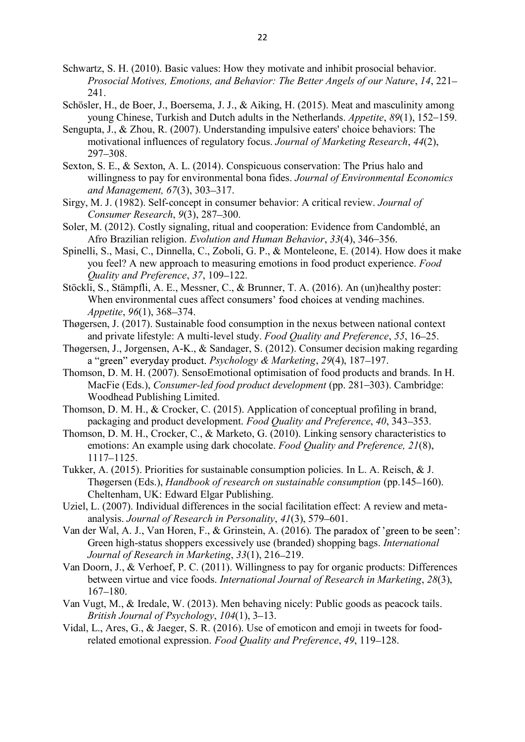- Schwartz, S. H. (2010). Basic values: How they motivate and inhibit prosocial behavior. *Prosocial Motives, Emotions, and Behavior: The Better Angels of our Nature*, *14*, 221 241.
- Schösler, H., de Boer, J., Boersema, J. J., & Aiking, H. (2015). Meat and masculinity among young Chinese, Turkish and Dutch adults in the Netherlands. *Appetite*, *89*(1), 152 159.
- Sengupta, J., & Zhou, R. (2007). Understanding impulsive eaters' choice behaviors: The motivational influences of regulatory focus. *Journal of Marketing Research*, *44*(2), 297 - 308.
- Sexton, S. E., & Sexton, A. L. (2014). Conspicuous conservation: The Prius halo and willingness to pay for environmental bona fides. *Journal of Environmental Economics and Management, 67(3), 303-317.*
- Sirgy, M. J. (1982). Self-concept in consumer behavior: A critical review. *Journal of Consumer Research, 9(3), 287–300.*
- Soler, M. (2012). Costly signaling, ritual and cooperation: Evidence from Candomblé, an Afro Brazilian religion. *Evolution and Human Behavior*, 33(4), 346–356.
- Spinelli, S., Masi, C., Dinnella, C., Zoboli, G. P., & Monteleone, E. (2014). How does it make you feel? A new approach to measuring emotions in food product experience. *Food <u>Ouality and Preference</u>*, 37, 109–122.
- Stöckli, S., Stämpfli, A. E., Messner, C., & Brunner, T. A. (2016). An (un)healthy poster: When environmental cues affect consumers' food choices at vending machines. *Appetite*, 96(1), 368–374.
- Thøgersen, J. (2017). Sustainable food consumption in the nexus between national context and private lifestyle: A multi-level study. *Food Quality and Preference*, *55*, 16 25.
- Thøgersen, J., Jorgensen, A-K., & Sandager, S. (2012). Consumer decision making regarding a "green" everyday product. *Psychology & Marketing*, 29(4), 187–197.
- Thomson, D. M. H. (2007). SensoEmotional optimisation of food products and brands. In H. MacFie (Eds.), *Consumer-led food product development* (pp. 281–303). Cambridge: Woodhead Publishing Limited.
- Thomson, D. M. H., & Crocker, C. (2015). Application of conceptual profiling in brand, packaging and product development. *Food Ouality and Preference*, 40, 343–353.
- Thomson, D. M. H., Crocker, C., & Marketo, G. (2010). Linking sensory characteristics to emotions: An example using dark chocolate. *Food Quality and Preference, 21*(8), 1117-1125.
- Tukker, A. (2015). Priorities for sustainable consumption policies. In L. A. Reisch, & J. Thøgersen (Eds.), *Handbook of research on sustainable consumption* (pp.145–160). Cheltenham, UK: Edward Elgar Publishing.
- Uziel, L. (2007). Individual differences in the social facilitation effect: A review and metaanalysis. *Journal of Research in Personality*, 41(3), 579–601.
- Van der Wal, A. J., Van Horen, F., & Grinstein, A. (2016). The paradox of 'green to be seen': Green high-status shoppers excessively use (branded) shopping bags. *International Journal of Research in Marketing*, 33(1), 216-219.
- Van Doorn, J., & Verhoef, P. C. (2011). Willingness to pay for organic products: Differences between virtue and vice foods. *International Journal of Research in Marketing*, *28*(3),  $167 - 180$ .
- Van Vugt, M., & Iredale, W. (2013). Men behaving nicely: Public goods as peacock tails. *British Journal of Psychology, 104(1), 3–13.*
- Vidal, L., Ares, G., & Jaeger, S. R. (2016). Use of emoticon and emoji in tweets for foodrelated emotional expression. *Food Quality and Preference*, 49, 119–128.